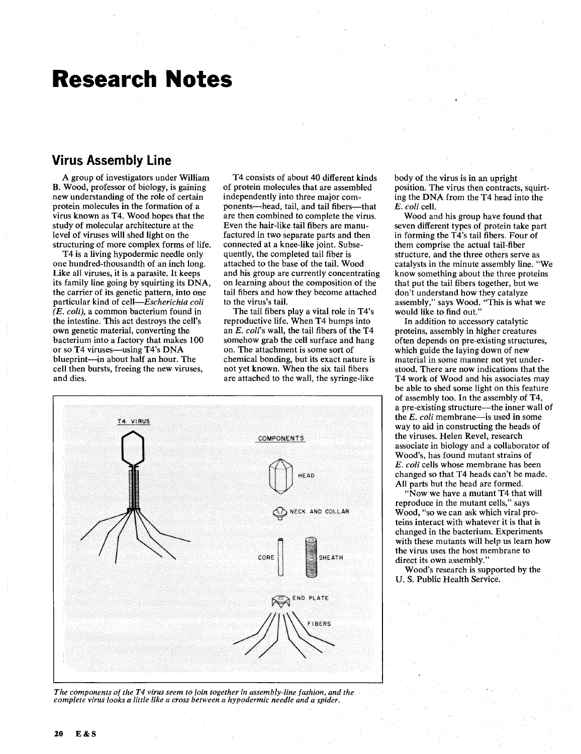# **Research Notes**

#### **Virus Assembly Line**

A group of investigators under William B. Wood, professor of biology, is gaining new understanding of the role of certain protein molecules in the formation of a virus known as T4. Wood hopes that the study of molecular architecture at the level of viruses will shed light on the structuring of more complex forms of life.

T4 is a living hypodermic needle only one hundred-thousandth of an inch long. Like all viruses, it is a parasite. It keeps its family line going by squirting its DNA, the carrier of its genetic pattern, into one particular kind of cell-Escherichia coli *(E.* coli), a common bacterium found in the intestine. This act destroys the cell's own genetic material, converting the bacterium into a factory that makes 100 or so T4 viruses-using T4's DNA blueprint-in about half an hour. The cell then bursts, freeing the new viruses, and dies.

T4 consists of about 40 different kinds of protein molecules that are assembled independently into three major components-head, tail, and tail fibers-that are then combined to complete the virus. Even the hair-like tail fibers are manufactured in two separate parts and then connected at a knee-like joint. Subsequently, the completed tail fiber is attached to the base of the tail. Wood and his group are currently concentrating on learning about the composition of the tail fibers and how they become attached to the virus's tail.

The tail fibers play a vital role in T4's reproductive life. When T4 bumps into an  $E.$  coli's wall, the tail fibers of the T4 somehow grab the cell surface and hang on. The attachment is some sort of chemical bonding, but its exact nature is not yet known. When the six tail fibers are attached to the wall, the syringe-like





body of the virus is in an upright position. The virus then contracts, squirting the DNA from the T4 head into the E. coli cell.

Wood and his group have found that seven different types of protein take part in forming the T4's tail fibers. Four of them comprise the actual tail-fiber structure, and the three others serve as catalysts in the minute assembly line. "We know something about the three proteins that put the tail fibers together, but we don't understand how they catalyze assembly," says Wood. "This is what we would like to find out."

In addition to accessory catalytic proteins, assembly in higher creatures often depends on pre-existing structures, which guide the laying down of new material in some manner not yet understood. There are now indications that the T4 work of Wood and his associates may be able to shed some light on this feature of assembly too. In the assembly of T4, a pre-existing structure-the inner wall of **the** E. coli membrane-is used in some way to aid in constructing the heads of the viruses. Helen Revel, research associate in biology and a collaborator of Wood's, has found mutant strains of E. coli cells whose membrane has been changed so that T4 heads can't be made. All parts but the head are formed.

"Now we have a mutant T4 that will reproduce in the mutant cells," says Wood, "so we can ask which viral proteins interact with whatever it is that is changed in the bacterium. Experiments with these mutants will help us learn how the virus uses the host membrane to direct its own assembly."

Wood's research is supported by the U. S. Public Health Service.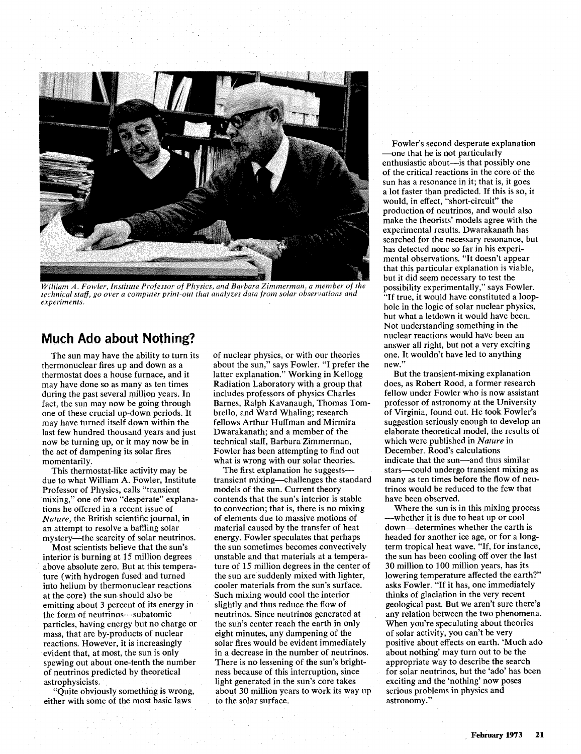

*William A. Fowler, Institute Professor of Physics, and Bat bara Zimmerman, a member of the technical staff, go over a computer print-out that analyzes data from solar observations and experiments.* 

#### **Much Ado about Nothing?**

The sun may have the ability to turn its thermonuclear fires up and down as a thermostat does a house furnace, and it may have done so as many as ten times during the past several million years. In fact, the sun may now be going through one of these crucial up-down periods. It may have turned itself down within the last few hundred thousand years and just now be turning up, or it may now be in the act of dampening its solar fires momentarily.

This thermostat-like activity may be due to what William **A.** Fowler, Institute Professor of Physics, calls "transient mixing," one of two "desperate" explanations he offered in a recent issue of *Nature,* the British scientific journal, in an attempt to resolve a baffling solar mystery----the scarcity of solar neutrinos.

Most scientists believe that the sun's interior is burning at 15 million degrees above absolute zero. But at this temperature (with hydrogen fused and turned into helium by thermonuclear reactions at the core) the sun should also be emitting about **3** percent of its energy in the form of neutrinos-subatomic particles, having energy but no charge or mass, that are by-products of nuclear reactions. However, it is increasingly evident that, at most, the sun is only spewing out about one-tenth the number of neutrinos predicted by theoretical astrophysicists.

"Quite obviously something is wrong, either with some of the most basic laws

of nuclear physics, or with our theories about the sun," says Fowler. "I prefer the latter explanation." Working in Kellogg Radiation Laboratory with a group that includes professors of physics Charles Barnes, Ralph Kavanaugh, Thomas Tombrello, and Ward Whaling; research fellows Arthur Huffman and Mirmira Dwarakanath; and a member of the technical staff, Barbara Zimmerman, Fowler has been attempting to find out what is wrong with our solar theories.

The first explanation he suggeststransient mixing-challenges the standard models of the sun. Current theory contends that the sun's interior is stable to convection; that is, there is no mixing of elements due to massive motions of material caused by the transfer of heat energy. Fowler speculates that perhaps the sun sometimes becomes convectively unstable and that materials at a temperature of 15 million degrees in the center of the sun are suddenly mixed with lighter, cooler materials from the sun's surface. Such mixing would cool the interior slightly and thus reduce the flow of neutrinos. Since neutrinos generated at the sun's center reach the earth in only eight minutes, any dampening of the solar fires would be evident immediately in a decrease in the number of neutrinos. There is no lessening of the sun's brightness because of this interruption, since light generated in the sun's core takes about 30 million years to work its way up to the solar surface.

Fowler's second desperate explanation -one that he is not particularly enthusiastic about—is that possibly one of the critical reactions in the core of the sun has a resonance in it; that is, it goes a lot faster than predicted. If this is so, it would, in effect, "short-circuit" the production of neutrinos, and would also make the theorists' models agree with the experimental results. Dwarakanath has searched for the necessary resonance, but has detected none so far in his experimental observations. "It doesn't appear that this particular explanation is viable, but it did seem necessary to test the possibility experimentally," says Fowler. 'If true, it would have constituted a loophole in the logic of solar nuclear physics, but what a letdown it would have been. Not understanding something in the nuclear reactions would have been an answer all right, but not a very exciting one. It wouldn't have led to anything new."

But the transient-mixing explanation does, as Robert Rood, a former research fellow under Fowler who is now assistant professor of astronomy at the University of Virginia, found out. He took Fowler's suggestion seriously enough to develop an elaborate theoretical model, the results of which were published in *Nature* in December. Rood's calculations indicate that the sun—and thus similar stars-could undergo transient mixing as many as ten times before the flow of neutrinos would be reduced to the few that have been observed.

Where the sun is in this mixing process -whether it is due to heat up or cool down-determines whether the earth is headed for another ice age, or for a longterm tropical heat wave. "If, for instance, the sun has been cooling off over the last 30 million to 100 million years, has its lowering temperature affected the earth?" asks Fowler. "If it has, one immediately thinks of glaciation in the very recent geological past. But we aren't sure there's any relation between the two phenomena. When you're speculating about theories of solar activity, you can't be very positive about effects on earth. 'Much ado about nothing' may turn out to be the appropriate way to describe the search for solar neutrinos, but the 'ado' has been exciting and the 'nothing' now poses serious problems in physics and astronomy."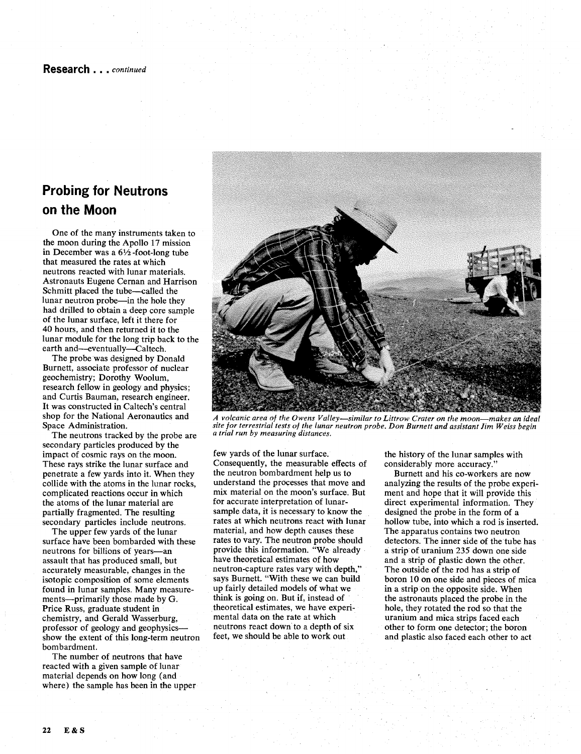## **Probing for Neutrons on the Moon**

One of the many instruments taken to the moon during the Apollo 17 mission in December was a 6% -foot-long tube that measured the rates at which neutrons reacted with lunar materials. Astronauts Eugene Cernan and Harrison Schmitt placed the tube-called the lunar neutron probe-in the hole they had drilled to obtain a deep core sample of the lunar surface, left it there for 40 hours, and then returned it to the lunar module for the long trip back to the earth and-eventually-Caltech.

The probe was designed by Donald Burnett, associate professor of nuclear geochemistry; Dorothy Woolum, research fellow in geology and physics; and Curtis Bauman, research engineer. It was constructed in Caltech's central shop for the National Aeronautics and Space Administration.

The neutrons tracked by the probe are secondary particles produced by the impact of cosmic rays on the moon. These rays strike the lunar surface and penetrate a few yards into it. When they collide with the atoms in the lunar rocks, complicated reactions occur in which the atoms of the lunar material are partially fragmented. The resulting secondary particles include neutrons.

The upper few yards of the lunar surface have been bombarded with these neutrons for billions of years-an assault that has produced small, but accurately measurable, changes in the isotopic composition of some elements found in lunar samples. Many measurements-primarily those made by *G.*  Price Russ, graduate student in chemistry, and Gerald Wasserburg, professor of geology and geophysicsshow the extent of this long-term neutron bombardment.

The number of neutrons that have reacted with a given sample of lunar material depends on how long (and where) the sample has been in the upper



*A volcanic area of the Owens Valley-similar to Littrow Crater on the moon-makes an ideal site for terrestrial tests of the lunar neutron probe. Don Burnett and assistant Jim Weiss begin a trial run by measuring distances.* 

few yards of the lunar surface. Consequently, the measurable effects of the neutron bombardment help us to understand the processes that move and mix material on the moon's surface. But for accurate interpretation of lunarsample data, it is necessary to know the rates at which neutrons react with lunar material, and how depth causes these rates to vary. The neutron probe should provide this information. "We already have theoretical estimates of how neutron-capture rates vary with depth," says Burnett. "With these we can build up fairly detailed models of what we think is going on. But if, instead of theoretical estimates, we have experimental data on the rate at which neutrons react down to a depth of six feet, we should be able to work out

the history of the lunar samples with considerably more accuracy."

Burnett and his co-workers are now analyzing the results of the probe experiment and hope that it will provide this direct experimental information. They designed the probe in the form of a hollow tube, into which a rod is inserted. The apparatus contains two neutron detectors. The inner side of the tube has a strip of uranium 235 down one side and a strip of plastic down the other. The outside of the rod has a strip of boron 10 on one side and pieces of mica in a strip on the opposite side. When the astronauts placed the probe in the hole, they rotated the rod so that the uranium and mica strips faced each other to form one detector; the boron and plastic also faced each other to act